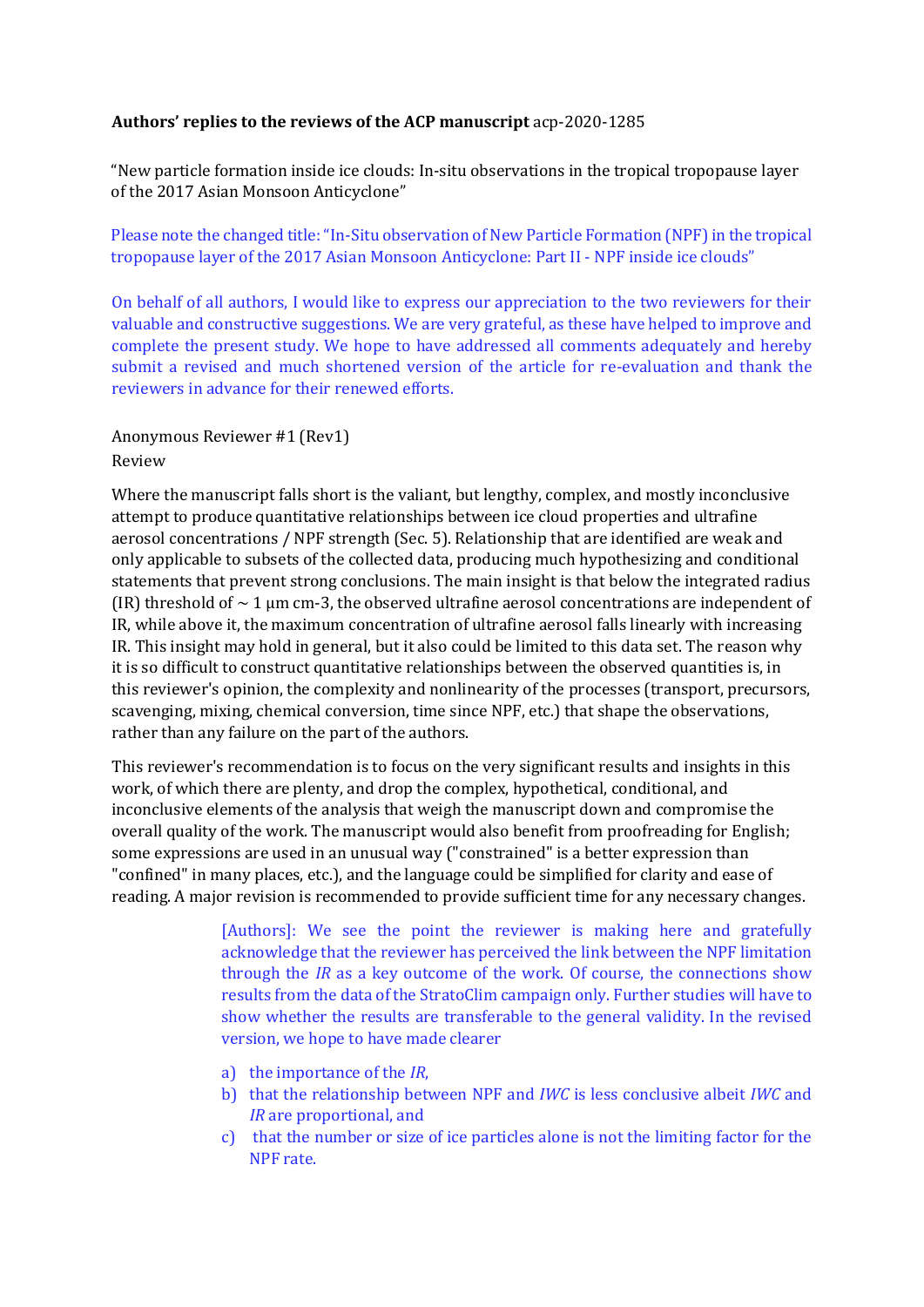# **Authors' replies to the reviews of the ACP manuscript** acp-2020-1285

"New particle formation inside ice clouds: In-situ observations in the tropical tropopause layer of the 2017 Asian Monsoon Anticyclone"

Please note the changed title: "In-Situ observation of New Particle Formation (NPF) in the tropical tropopause layer of the 2017 Asian Monsoon Anticyclone: Part II - NPF inside ice clouds"

On behalf of all authors, I would like to express our appreciation to the two reviewers for their valuable and constructive suggestions. We are very grateful, as these have helped to improve and complete the present study. We hope to have addressed all comments adequately and hereby submit a revised and much shortened version of the article for re-evaluation and thank the reviewers in advance for their renewed efforts.

Anonymous Reviewer #1 (Rev1) Review

Where the manuscript falls short is the valiant, but lengthy, complex, and mostly inconclusive attempt to produce quantitative relationships between ice cloud properties and ultrafine aerosol concentrations / NPF strength (Sec. 5). Relationship that are identified are weak and only applicable to subsets of the collected data, producing much hypothesizing and conditional statements that prevent strong conclusions. The main insight is that below the integrated radius (IR) threshold of  $\sim 1$  µm cm-3, the observed ultrafine aerosol concentrations are independent of IR, while above it, the maximum concentration of ultrafine aerosol falls linearly with increasing IR. This insight may hold in general, but it also could be limited to this data set. The reason why it is so difficult to construct quantitative relationships between the observed quantities is, in this reviewer's opinion, the complexity and nonlinearity of the processes (transport, precursors, scavenging, mixing, chemical conversion, time since NPF, etc.) that shape the observations, rather than any failure on the part of the authors.

This reviewer's recommendation is to focus on the very significant results and insights in this work, of which there are plenty, and drop the complex, hypothetical, conditional, and inconclusive elements of the analysis that weigh the manuscript down and compromise the overall quality of the work. The manuscript would also benefit from proofreading for English; some expressions are used in an unusual way ("constrained" is a better expression than "confined" in many places, etc.), and the language could be simplified for clarity and ease of reading. A major revision is recommended to provide sufficient time for any necessary changes.

> [Authors]: We see the point the reviewer is making here and gratefully acknowledge that the reviewer has perceived the link between the NPF limitation through the *IR* as a key outcome of the work. Of course, the connections show results from the data of the StratoClim campaign only. Further studies will have to show whether the results are transferable to the general validity. In the revised version, we hope to have made clearer

- a) the importance of the *IR*,
- b) that the relationship between NPF and *IWC* is less conclusive albeit *IWC* and *IR* are proportional, and
- c) that the number or size of ice particles alone is not the limiting factor for the NPF rate.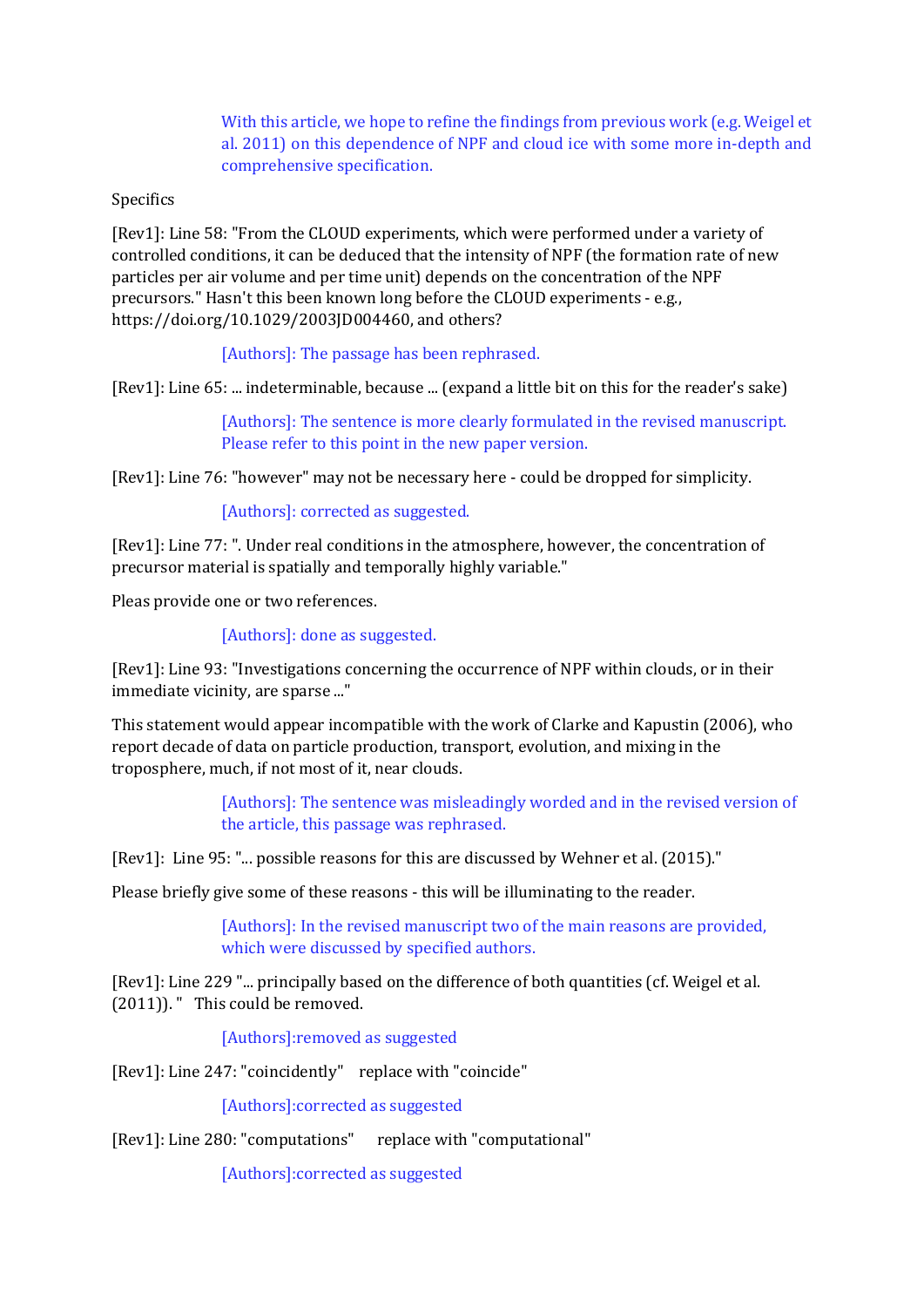With this article, we hope to refine the findings from previous work (e.g. Weigel et al. 2011) on this dependence of NPF and cloud ice with some more in-depth and comprehensive specification.

# Specifics

[Rev1]: Line 58: "From the CLOUD experiments, which were performed under a variety of controlled conditions, it can be deduced that the intensity of NPF (the formation rate of new particles per air volume and per time unit) depends on the concentration of the NPF precursors." Hasn't this been known long before the CLOUD experiments - e.g., https://doi.org/10.1029/2003JD004460, and others?

[Authors]: The passage has been rephrased.

[Rev1]: Line 65: ... indeterminable, because ... (expand a little bit on this for the reader's sake)

[Authors]: The sentence is more clearly formulated in the revised manuscript. Please refer to this point in the new paper version.

[Rev1]: Line 76: "however" may not be necessary here - could be dropped for simplicity.

[Authors]: corrected as suggested.

[Rev1]: Line 77: ". Under real conditions in the atmosphere, however, the concentration of precursor material is spatially and temporally highly variable."

Pleas provide one or two references.

[Authors]: done as suggested.

[Rev1]: Line 93: "Investigations concerning the occurrence of NPF within clouds, or in their immediate vicinity, are sparse ..."

This statement would appear incompatible with the work of Clarke and Kapustin (2006), who report decade of data on particle production, transport, evolution, and mixing in the troposphere, much, if not most of it, near clouds.

> [Authors]: The sentence was misleadingly worded and in the revised version of the article, this passage was rephrased.

[Rev1]: Line 95: "... possible reasons for this are discussed by Wehner et al. (2015)."

Please briefly give some of these reasons - this will be illuminating to the reader.

[Authors]: In the revised manuscript two of the main reasons are provided, which were discussed by specified authors.

[Rev1]: Line 229 "... principally based on the difference of both quantities (cf. Weigel et al. (2011)). " This could be removed.

[Authors]:removed as suggested

[Rev1]: Line 247: "coincidently" replace with "coincide"

[Authors]:corrected as suggested

[Rev1]: Line 280: "computations" replace with "computational"

[Authors]:corrected as suggested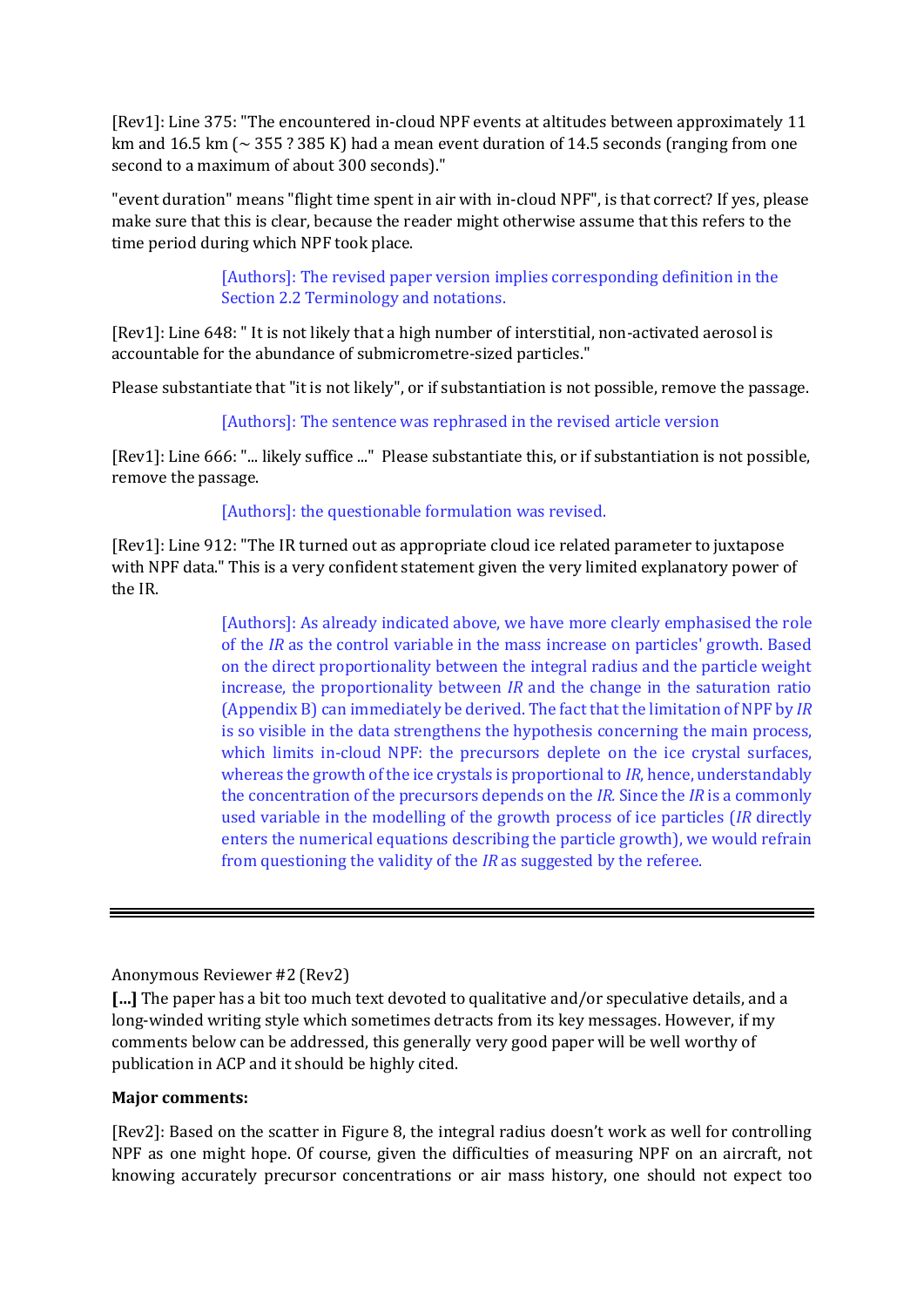[Rev1]: Line 375: "The encountered in-cloud NPF events at altitudes between approximately 11 km and 16.5 km ( $\sim$  355 ? 385 K) had a mean event duration of 14.5 seconds (ranging from one second to a maximum of about 300 seconds)."

"event duration" means "flight time spent in air with in-cloud NPF", is that correct? If yes, please make sure that this is clear, because the reader might otherwise assume that this refers to the time period during which NPF took place.

> [Authors]: The revised paper version implies corresponding definition in the Section 2.2 Terminology and notations.

[Rev1]: Line 648: " It is not likely that a high number of interstitial, non-activated aerosol is accountable for the abundance of submicrometre-sized particles."

Please substantiate that "it is not likely", or if substantiation is not possible, remove the passage.

[Authors]: The sentence was rephrased in the revised article version

[Rev1]: Line 666: "... likely suffice ..." Please substantiate this, or if substantiation is not possible, remove the passage.

# [Authors]: the questionable formulation was revised.

[Rev1]: Line 912: "The IR turned out as appropriate cloud ice related parameter to juxtapose with NPF data." This is a very confident statement given the very limited explanatory power of the IR.

> [Authors]: As already indicated above, we have more clearly emphasised the role of the *IR* as the control variable in the mass increase on particles' growth. Based on the direct proportionality between the integral radius and the particle weight increase, the proportionality between *IR* and the change in the saturation ratio (Appendix B) can immediately be derived. The fact that the limitation of NPF by *IR* is so visible in the data strengthens the hypothesis concerning the main process, which limits in-cloud NPF: the precursors deplete on the ice crystal surfaces, whereas the growth of the ice crystals is proportional to *IR*, hence, understandably the concentration of the precursors depends on the *IR.* Since the *IR* is a commonly used variable in the modelling of the growth process of ice particles (*IR* directly enters the numerical equations describing the particle growth), we would refrain from questioning the validity of the *IR* as suggested by the referee.

Anonymous Reviewer #2 (Rev2)

**[…]** The paper has a bit too much text devoted to qualitative and/or speculative details, and a long-winded writing style which sometimes detracts from its key messages. However, if my comments below can be addressed, this generally very good paper will be well worthy of publication in ACP and it should be highly cited.

#### **Major comments:**

[Rev2]: Based on the scatter in Figure 8, the integral radius doesn't work as well for controlling NPF as one might hope. Of course, given the difficulties of measuring NPF on an aircraft, not knowing accurately precursor concentrations or air mass history, one should not expect too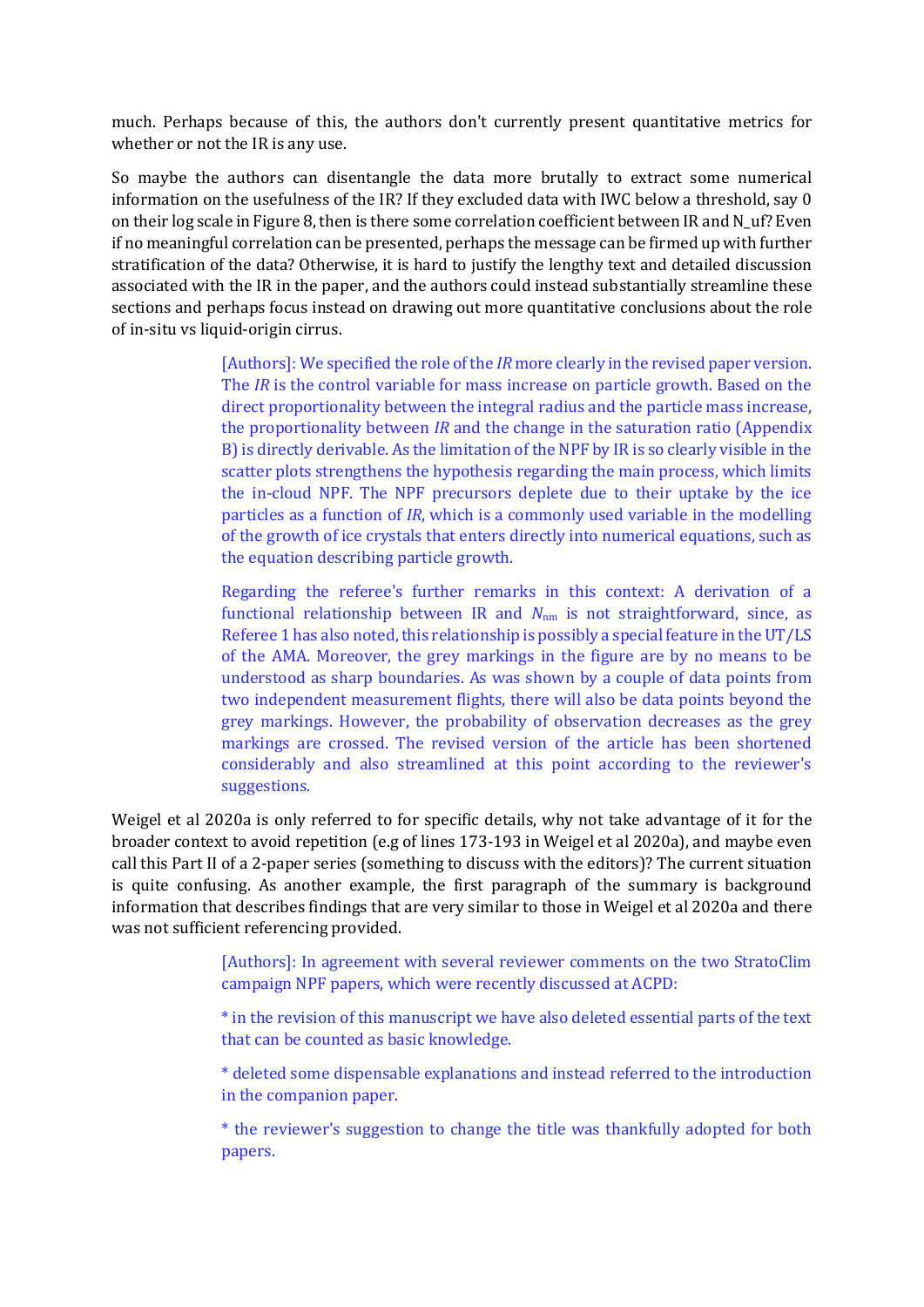much. Perhaps because of this, the authors don't currently present quantitative metrics for whether or not the IR is any use.

So maybe the authors can disentangle the data more brutally to extract some numerical information on the usefulness of the IR? If they excluded data with IWC below a threshold, say 0 on their log scale in Figure 8, then is there some correlation coefficient between IR and N\_uf? Even if no meaningful correlation can be presented, perhaps the message can be firmed up with further stratification of the data? Otherwise, it is hard to justify the lengthy text and detailed discussion associated with the IR in the paper, and the authors could instead substantially streamline these sections and perhaps focus instead on drawing out more quantitative conclusions about the role of in-situ vs liquid-origin cirrus.

> [Authors]: We specified the role of the *IR* more clearly in the revised paper version. The *IR* is the control variable for mass increase on particle growth. Based on the direct proportionality between the integral radius and the particle mass increase, the proportionality between *IR* and the change in the saturation ratio (Appendix B) is directly derivable. As the limitation of the NPF by IR is so clearly visible in the scatter plots strengthens the hypothesis regarding the main process, which limits the in-cloud NPF. The NPF precursors deplete due to their uptake by the ice particles as a function of *IR*, which is a commonly used variable in the modelling of the growth of ice crystals that enters directly into numerical equations, such as the equation describing particle growth.

> Regarding the referee's further remarks in this context: A derivation of a functional relationship between IR and *N*nm is not straightforward, since, as Referee 1 has also noted, this relationship is possibly a special feature in the UT/LS of the AMA. Moreover, the grey markings in the figure are by no means to be understood as sharp boundaries. As was shown by a couple of data points from two independent measurement flights, there will also be data points beyond the grey markings. However, the probability of observation decreases as the grey markings are crossed. The revised version of the article has been shortened considerably and also streamlined at this point according to the reviewer's suggestions.

Weigel et al 2020a is only referred to for specific details, why not take advantage of it for the broader context to avoid repetition (e.g of lines 173-193 in Weigel et al 2020a), and maybe even call this Part II of a 2-paper series (something to discuss with the editors)? The current situation is quite confusing. As another example, the first paragraph of the summary is background information that describes findings that are very similar to those in Weigel et al 2020a and there was not sufficient referencing provided.

> [Authors]: In agreement with several reviewer comments on the two StratoClim campaign NPF papers, which were recently discussed at ACPD:

> \* in the revision of this manuscript we have also deleted essential parts of the text that can be counted as basic knowledge.

> \* deleted some dispensable explanations and instead referred to the introduction in the companion paper.

> \* the reviewer's suggestion to change the title was thankfully adopted for both papers.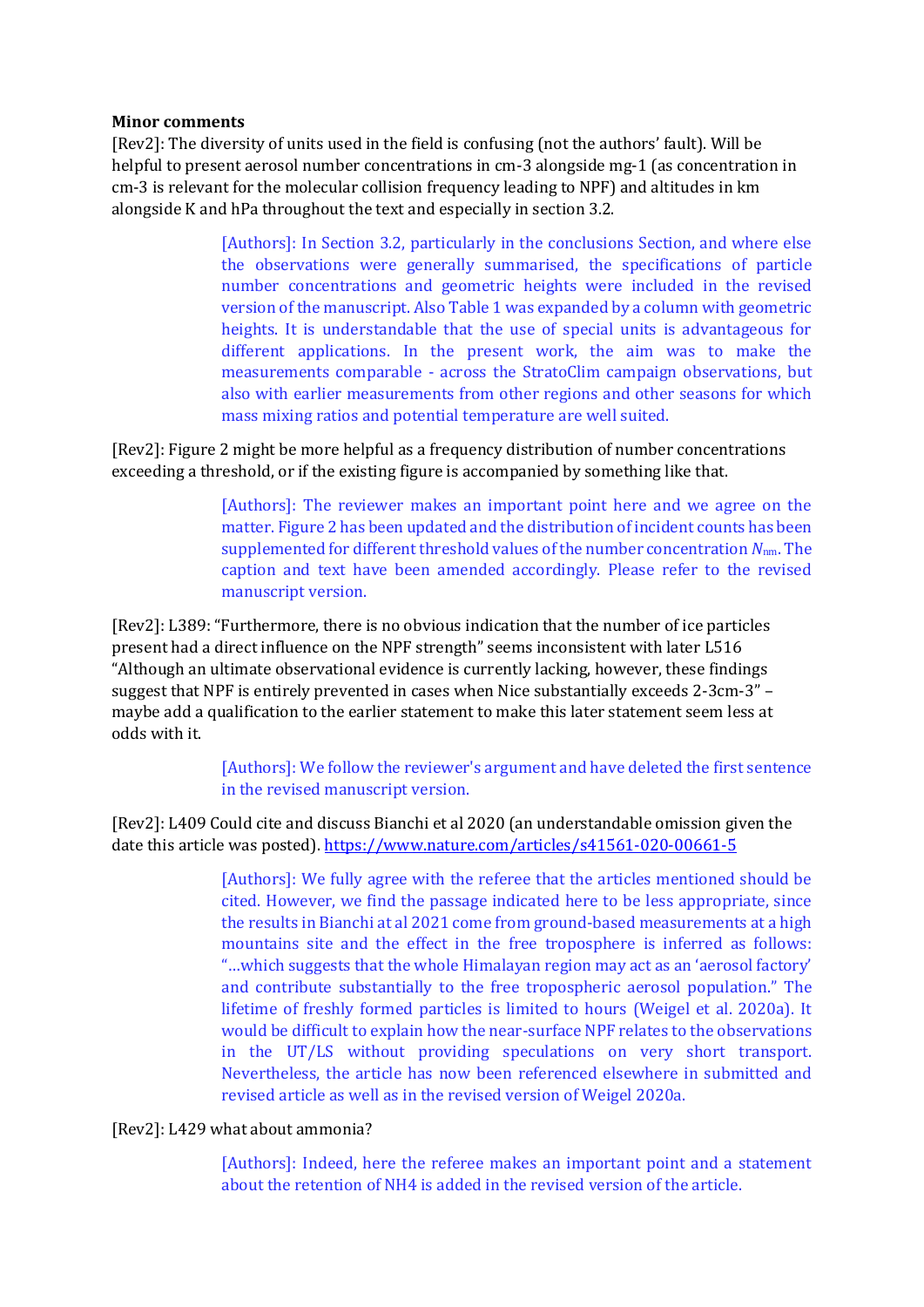## **Minor comments**

[Rev2]: The diversity of units used in the field is confusing (not the authors' fault). Will be helpful to present aerosol number concentrations in cm-3 alongside mg-1 (as concentration in cm-3 is relevant for the molecular collision frequency leading to NPF) and altitudes in km alongside K and hPa throughout the text and especially in section 3.2.

> [Authors]: In Section 3.2, particularly in the conclusions Section, and where else the observations were generally summarised, the specifications of particle number concentrations and geometric heights were included in the revised version of the manuscript. Also Table 1 was expanded by a column with geometric heights. It is understandable that the use of special units is advantageous for different applications. In the present work, the aim was to make the measurements comparable - across the StratoClim campaign observations, but also with earlier measurements from other regions and other seasons for which mass mixing ratios and potential temperature are well suited.

[Rev2]: Figure 2 might be more helpful as a frequency distribution of number concentrations exceeding a threshold, or if the existing figure is accompanied by something like that.

> [Authors]: The reviewer makes an important point here and we agree on the matter. Figure 2 has been updated and the distribution of incident counts has been supplemented for different threshold values of the number concentration *N*nm. The caption and text have been amended accordingly. Please refer to the revised manuscript version.

[Rev2]: L389: "Furthermore, there is no obvious indication that the number of ice particles present had a direct influence on the NPF strength" seems inconsistent with later L516 "Although an ultimate observational evidence is currently lacking, however, these findings suggest that NPF is entirely prevented in cases when Nice substantially exceeds 2-3cm-3" – maybe add a qualification to the earlier statement to make this later statement seem less at odds with it.

> [Authors]: We follow the reviewer's argument and have deleted the first sentence in the revised manuscript version.

[Rev2]: L409 Could cite and discuss Bianchi et al 2020 (an understandable omission given the date this article was posted).<https://www.nature.com/articles/s41561-020-00661-5>

> [Authors]: We fully agree with the referee that the articles mentioned should be cited. However, we find the passage indicated here to be less appropriate, since the results in Bianchi at al 2021 come from ground-based measurements at a high mountains site and the effect in the free troposphere is inferred as follows: "…which suggests that the whole Himalayan region may act as an 'aerosol factory' and contribute substantially to the free tropospheric aerosol population." The lifetime of freshly formed particles is limited to hours (Weigel et al. 2020a). It would be difficult to explain how the near-surface NPF relates to the observations in the UT/LS without providing speculations on very short transport. Nevertheless, the article has now been referenced elsewhere in submitted and revised article as well as in the revised version of Weigel 2020a.

## [Rev2]: L429 what about ammonia?

[Authors]: Indeed, here the referee makes an important point and a statement about the retention of NH4 is added in the revised version of the article.